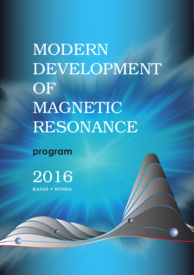MODERN DEVELOPMENT OF MAGNETIC RESONANCE

**program**

KAZAN **\*** RUSSIA 2016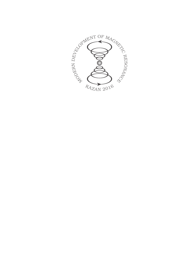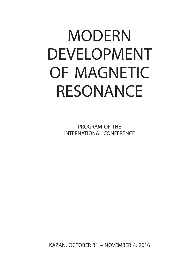# MODERN DEVELOPMENT OF MAGNETIC RESONANCE

PROGRAM OF THE INTERNATIONAL CONFERENCE

KAZAN, OCTOBER 31 – NOVEMBER 4, 2016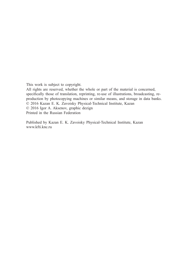This work is subject to copyright.

All rights are reserved, whether the whole or part of the material is concerned, specifically those of translation, reprinting, re-use of illustrations, broadcasting, reproduction by photocopying machines or similar means, and storage in data banks. © 2016 Kazan E. K. Zavoisky Physical-Technical Institute, Kazan © 2016 Igor A. Aksenov, graphic dezign Printed in the Russian Federation

Published by Kazan E. K. Zavoisky Physical-Technical Institute, Kazan www.kfti.knc.ru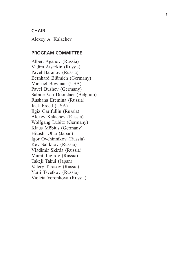## **CHAIR**

Alexey A. Kalachev

## **Program Committee**

Albert Aganov (Russia) Vadim Atsarkin (Russia) Pavel Baranov (Russia) Bernhard Blümich (Germany) Michael Bowman (USA) Pavel Bushev (Germany) Sabine Van Doorslaer (Belgium) Rushana Eremina (Russia) Jack Freed (USA) Ilgiz Garifullin (Russia) Alexey Kalachev (Russia) Wolfgang Lubitz (Germany) Klaus Möbius (Germany) Hitoshi Ohta (Japan) Igor Ovchinnikov (Russia) Kev Salikhov (Russia) Vladimir Skirda (Russia) Murat Tagirov (Russia) Takeji Takui (Japan) Valery Tarasov (Russia) Yurii Tsvetkov (Russia) Violeta Voronkova (Russia)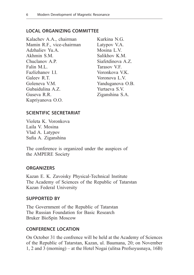## **Local Organizing Committee**

Kalachev A.A., chairman Mamin R.F., vice-chairman Adzhaliev Yu.A. Akhmin S<sub>M</sub> Chuclanov A.P. Falin M.L. Fazlizhanov I.I. Galeev R.T. Goleneva V.M. Gubaidulina A.Z. Guseva R.R. Kupriyanova O.O.

Kurkina N.G. Latypov V.A. Mosina L.V. Salikhov K.M. Siafetdinova A.Z. Tarasov V.F. Voronkova V.K. Voronova L.V. Yanduganova O.B. Yurtaeva S.V. Ziganshina S.A.

## **Scientific Secretariat**

Violeta K. Voronkova Laila V. Mosina Vlad A. Latypov Sufia A. Ziganshina

The conference is organized under the auspices of the AMPERE Society

### **Organizers**

Kazan E. K. Zavoisky Physical-Technical Institute The Academy of Sciences of the Republic of Tatarstan Kazan Federal University

### **SUPPORTED BY**

The Government of the Republic of Tatarstan The Russian Foundation for Basic Research Bruker BioSpin Moscow

## **CONFERENCE LOCATION**

On October 31 the confrence will be held at the Academy of Sciences of the Republic of Tatarstan, Kazan, ul. Baumana, 20; on November 1, 2 and 3 (morning) – at the Hotel Nogai (ulitsa Profsoyusnaya, 16B)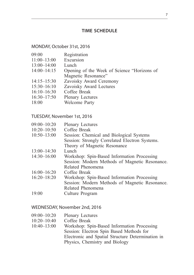## **Time Schedule**

## MONDAY, October 31st, 2016

- 09:00 Registration
- 11:00–13:00 Excursion<br>13:00–14:00 Lunch
- $13:00-14:00$ <br> $14:00-14:15$
- Opening of the Week of Science "Horizons of Magnetic Resonance"
- 14:15–15:30 Zavoisky Award Ceremony<br>15:30–16:10 Zavoisky Award Lectures
- Zavoisky Award Lectures
- 16:10–16:30 Coffee Break<br>16:30–17:50 Plenary Lectu
- Plenary Lectures
- 18:00 Welcome Party

#### TUESDAY, November 1st, 2016

| $09:00 - 10:20$ | <b>Plenary Lectures</b>                        |
|-----------------|------------------------------------------------|
| $10:20 - 10:50$ | Coffee Break                                   |
| $10:50 - 13:00$ | Session: Chemical and Biological Systems       |
|                 | Session: Strongly Correlated Electron Systems. |
|                 | Theory of Magnetic Resonance                   |
| $13:00 - 14:30$ | Lunch                                          |
| $14:30-16:00$   | Workshop: Spin-Based Information Processing    |
|                 | Session: Modern Methods of Magnetic Resonance. |
|                 | Related Phenomena                              |
| $16:00 - 16:20$ | Coffee Break                                   |
| $16:20 - 18:20$ | Workshop: Spin-Based Information Processing    |
|                 | Session: Modern Methods of Magnetic Resonance. |
|                 | Related Phenomena                              |
| 19:00           | Culture Program                                |

## WEDNESDAY, November 2nd, 2016

09:00–10:20 Plenary Lectures 10:20–10:40 Coffee Break 10:40–13:00 Workshop: Spin-Based Information Processing Session: Electron Spin Based Methods for Electronic and Spatial Structure Determination in Physics, Chemistry and Biology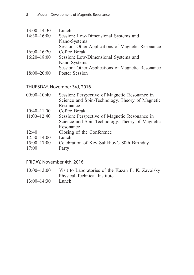| $13:00 - 14:30$ | Lunch                                             |
|-----------------|---------------------------------------------------|
| $14:30 - 16:00$ | Session: Low-Dimensional Systems and              |
|                 | Nano-Systems                                      |
|                 | Session: Other Applications of Magnetic Resonance |
| $16:00 - 16:20$ | Coffee Break                                      |
| $16:20 - 18:00$ | Session: Low-Dimensional Systems and              |
|                 | Nano-Systems                                      |
|                 | Session: Other Applications of Magnetic Resonance |
| $18:00 - 20:00$ | Poster Session                                    |

## THURSDAY, November 3rd, 2016

| $09:00 - 10:40$ | Session: Perspective of Magnetic Resonance in   |
|-----------------|-------------------------------------------------|
|                 | Science and Spin-Technology. Theory of Magnetic |
|                 | Resonance                                       |
| $10:40 - 11:00$ | Coffee Break                                    |
| $11:00 - 12:40$ | Session: Perspective of Magnetic Resonance in   |
|                 | Science and Spin-Technology. Theory of Magnetic |
|                 | Resonance                                       |
| 12.40           | Closing of the Conference                       |
| $12:50 - 14:00$ | Lunch                                           |
| $15:00 - 17:00$ | Celebration of Kev Salikhov's 80th Birthday     |
| 17:00           | Party                                           |

## FRIDAY, November 4th, 2016

| $10:00 - 13:00$ | Visit to Laboratories of the Kazan E. K. Zavoisky |
|-----------------|---------------------------------------------------|
|                 | Physical-Technical Institute                      |
| 10.001100       |                                                   |

13:00–14:30 Lunch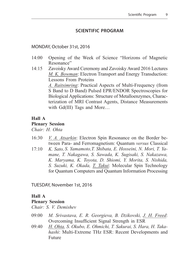## **Scientific Program**

#### MONDAY, October 31st, 2016

- 14:00 Opening of the Week of Science "Horizons of Magnetic Resonance"
- 14:15 Zavoisky Award Ceremony and Zavoisky Award 2016 Lectures *M. K. Bowman*: Electron Transport and Energy Transduction: Lessons From Proteins *A. Raitsimring*: Practical Aspects of Multi-Frequency (from S Band to D Band) Pulsed EPR/ENDOR Spectroscopies for Biological Applications: Structure of Metalloenzymes, Charac-

terization of MRI Contrast Agents, Distance Measurements with Gd(III) Tags and More…

### **Hall A**

#### **Plenary Session**

*Chair: H. Ohta*

- 16:30 *V. A. Atsarkin*: Electron Spin Resonance on the Border between Para- and Ferromagnetism: Quantum *versus* Classical
- 17:10 *K. Sato, S. Yamamoto,T. Shibata, E. Hosseini, N. Mori, T. Yamane, T. Nakagawa, S. Sawada, K. Sugisaki, S. Nakazawa, K. Maryama, K. Toyota, D. Shiomi, Y. Morita, S. Nishida, S. Suzuki, K. Okada, T. Takui*: Molecular Spin Technology for Quantum Computers and Quantum Information Processing

TUESDAY, November 1st, 2016

#### **Hall A**

### **Plenary Session**

*Chair: S. V. Demishev*

- 09:00 *M. Srivastava, E. R. Georgieva, B. Dzikovski, J. H. Freed*: Overcoming Insufficient Signal Strength in ESR
- 09:40 *H. Ohta, S. Okubo, E. Ohmichi, T. Sakurai, S. Hara, H. Takahashi*: Multi-Extreme THz ESR: Recent Developments and Future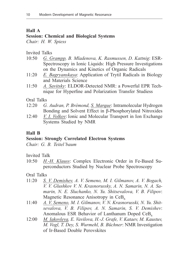#### **Hall A**

### **Session: Chemical and Biological Systems**

*Chair: H. W. Spiess*

Invited Talks

- 10:50 *G. Grampp, B. Mladenova, K. Rasmussen, D. Kattnig*: ESR-Spectroscopy in Ionic Liquids: High Pressure Investigations on the Dynamics and Kinetics of Organic Radicals
- 11:20 *E. Bagryanskaya*: Application of Trytil Radicals in Biology and Materials Science
- 11:50 *A. Savitsky*: ELDOR-Detected NMR: a Powerful EPR Technique for Hyperfine and Polarization Transfer Studiess

Oral Talks

- 12:20 *G. Audran, P. Brémond, S. Marque*: Intramolecular Hydrogen Bonding and Solvent Effect in β-Phosphorylated Nitroxides
- 12:40 *V. I. Volkov*: Ionic and Molecular Transport in Ion Exchange Systems Studied by NMR

### **Hall B**

#### **Session: Strongly Correlated Electron Systems**

*Chair: G. B. Teitel'baum*

Invited Talk

10:50 *H.-H. Klauss*: Complex Electronic Order in Fe-Based Superconductors Studied by Nuclear Probe Spectroscopy

- 11:20 *S. V. Demishev, A. V. Semeno, M. I. Gilmanov, A. V. Bogach, V. V. Glushkov V. N. Krasnorussky, A. N. Samarin, N. A. Samarin, N. E. Sluchanko, N. Yu. Shitsevalova, V. B. Filipov*: Magnetic Resonance Anisotropy in  $CeB<sub>6</sub>$
- 11:40 *A. V. Semeno, M. I. Gilmanov, V. N. Krasnorusski, N. Yu. Shitsevalova, V. B. Filipov, A. N. Samarin, S. V. Demishev*: Anomalous ESR Behavior of Lanthanum Doped  $CeB<sub>6</sub>$
- 12:00 *M. Iakovleva, E. Vavilova, H.-J. Grafe, V. Kataev, M. Kaustuv, M. Vogl, T. Dey, S. Wurmehl, B. Büchner*: NMR Investigation of Ir-Based Double Perovskites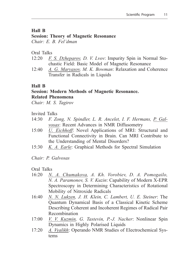## **Hall B**

## **Session: Theory of Magnetic Resonance**

*Chair: E. B. Fel'dman*

## Oral Talks

- 12:20 *F. S. Dzheparov, D. V. Lvov*: Impurity Spin in Normal Stochastic Field: Basic Model of Magnetic Resonance
- 12:40 *A. G. Maryasov, M. K. Bowman*: Relaxation and Coherence Transfer in Radicals in Liquids

## **Hall B**

## **Session: Modern Methods of Magnetic Resonance. Related Phenomena**

*Chair: M. S. Tagirov*

## Invited Talks

- 14:30 *F. Zong, N. Spindler, L. R. Ancelet, I. F. Hermans, P. Galvosas*: Recent Advances in NMR Diffusometry
- 15:00 *U. Eichhoff*: Novel Applications of MRI: Structural and Functional Connectivity in Brain. Can MRI Contribute to the Understanding of Mental Disorders?
- 15:30 *K. A. Earle*: Graphical Methods for Spectral Simulation

## *Chair: P. Galvosas*

- 16:20 *N. A. Chumakova, A. Kh. Vorobiev, D. A. Pomogailo, N. A. Paramonov, S. V. Kuzin*: Capability of Modern X-EPR Spectroscopy in Determining Characteristics of Rotational Mobility of Nitroxide Radicals
- 16:40 *N. N. Lukzen, J. H. Klein, C. Lambert, U. E. Steiner*: The Quantum Dynamical Basis of a Classical Kinetic Scheme Describing Coherent and Incoherent Regimes of Radical Pair Recombination
- 17:00 *V. V. Kuzmin, G. Tastevin, P.-J. Nacher*: Nonlinear Spin Dynamics in Highly Polarised Liquids
- 17:20 *A. Vyalikh*: Operando NMR Studies of Electrochemical Systems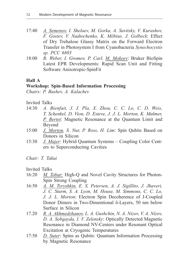- 17:40 *A. Semenov, I. Shelaev, M. Gorka, A. Savitsky, V. Kurashov, F. Gostev, V. Nadtochenko, K. Möbius, J. Golbeck*: Effect of Dry Trehalose Glassy Matrix on the Forward Electron Transfer in Photosystem I from Cyanobacteria *Synechocystis sp. PCC 6803*
- 18:00 *R. Weber, I. Gromov, P. Carl, M. Mokeev*: Bruker BioSpin Latest EPR Developments: Rapid Scan Unit and Fitting Software Anisotropic-SpinFit

### **Hall A**

#### **Workshop: Spin-Based Information Processing**

*Chairs: P. Bushev, A. Kalachev*

Invited Talks

- 14:30 *A. Bienfait, J. J. Pla, X. Zhou, C. C. Lo, C. D. Weis, T. Schenkel, D. Vion, D. Esteve, J. J. L. Morton, K. Mølmer, P. Bertet*: Magnetic Resonance at the Quantum Limit and Beyond
- 15:00 *J. Morton, S. Nur, P. Ross, H. Lim*: Spin Qubits Based on Donors in Silicon
- 15:30 *J. Majer*: Hybrid Quantum Systems Coupling Color Centers to Superconducting Cavities

*Chair: T. Takui*

Invited Talks

- 16:20 *M. Tobar*: High-Q and Novel Cavity Structures for Photon-Spin Strong Coupling
- 16:50 *A. M. Tyryshkin, E. S. Petersen, A. J. Sigillito, J. Jhaveri, J. C. Sturm, S. A. Lyon, M. House, M. Simmons, C. C. Lo, J. J. L. Morton*: Electron Spin Decoherence of J-Coupled Donor Dimers in Two-Dimentional δ-Layers, 50 nm below Surface in Silicon
- 17.20 *R. A. Akhmedzhanov, L. A. Gushchin, N. A. Nizov, V. A. Nizov, D. A. Sobgayda, I. V. Zelensky*: Optically Detected Magnetic Resonance in Diamond NV-Centers under Resonant Optical Excitation at Cryogenic Temperatures
- 17:50 *D. Suter*: Spins as Qubits: Quantum Information Processing by Magnetic Resonance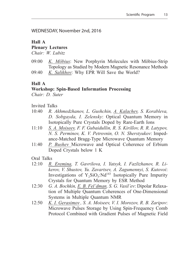WEDNESDAY, November 2nd, 2016

## **Hall A Plenary Lectures**

*Chair: W. Lubitz*

09:00 *K. Möbius*: New Porphyrin Molecules with Möbius-Strip Topology as Studied by Modern Magnetic Resonance Methods 09:40 *K. Salikhov*: Why EPR Will Save the World?

## **Hall A**

# **Workshop: Spin-Based Information Processing**

*Chair: D. Suter*

Invited Talks

- 10:40 *R. Akhmedzhanov, L. Gushchin, A. Kalachev, S. Korableva, D. Sobgayda, I. Zelensky*: Optical Quantum Memory in Isotopically Pure Crystals Doped by Rare-Earth Ions
- 11:10 *S. A. Moiseev, F. F. Gubaidullin, R. S. Kirillov, R. R. Latypov, N. S. Perminov, K. V. Petrovnin, O. N. Sherstyukov*: Impedance-Matched Bragg-Type Microwave Quantum Memory
- 11:40 *P. Bushev* Microwave and Optical Coherence of Erbium Doped Crystals below 1 K

- 12:10 *R. Eremina, T. Gavrilova, I. Yatsyk, I. Fazlizhanov, R. Likerov, V. Shustov, Yu. Zavartsev, A. Zagumennyi, S. Kutovoi*: Investigations of  $Y_2SiO_5:Nd^{143}$  Isotopically Pure Impurity Crystals for Quantum Memory by ESR Method
- 12:30 *G. A. Bochkin, E. B. Fel'dman, S. G. Vasil'ev*: Dipolar Relaxation of Multiple Quantum Coherences of One-Dimensional Systems in Multiple Quantum NMR
- 12:50 *K. I. Gerasimov , S. A. Moiseev, V. I. Morozov, R. B. Zaripov*: Microwave Pulses Storage by Using Spin-Frequency Comb Protocol Combined with Gradient Pulses of Magnetic Field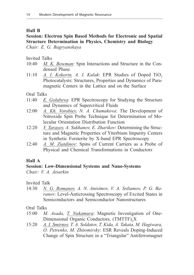### **Hall B**

## **Session: Electron Spin Based Methods for Electronic and Spatial Structure Determination in Physics, Chemistry and Biology** *Chair: E. G. Bagryanskaya*

Invited Talks

- 10:40 *M. K. Bowman*: Spin Interactions and Structure in the Condensed Phase
- 11:10  $\alpha$ . *I. Kokorin, A. I. Kulak: EPR Studies of Doped TiO<sub>2</sub>* Photocatalysts: Structures, Properties and Dynamics of Paramagnetic Centers in the Lattice and on the Surface

Oral Talks

- 11:40 *E. Golubeva*: EPR Spectroscopy for Studying the Structure and Dynamics of Supercritical Fluids
- 12:00 *A. Kh. Vorobiev, N. A. Chumakova*: The Development of Nitroxide Spin Probe Technique for Determination of Molecular Orientation Distribution Function
- 12:20 *V. Tarasov, A. Sukhanov, E. Zharikov*: Determining the Structure and Magnetic Properties of Ytterbium Impurity Centers in Synthetic Forsterite by X-band EPR Spectroscopy
- 12:40 *A. M. Ziatdinov*: Spins of Current Carriers as a Probe of Physical and Chemical Transformations in Conductors

### **Hall A**

## **Session: Low-Dimensional Systems and Nano-Systems**

*Chair: V. A. Atsarkin*

Invited Talk

14:30 *N. G. Romanov, A. N. Anisimov, V. A. Soltamov, P. G. Baranov*: Level-Anticrossing Spectroscopy of Excited States in Semiconductors and Semiconductor Nanostructures

- 15:00 *M. Asada, T. Nakamura*: Magnetic Investigation of One-Dimensional Organic Conductors,  $(TMTTF)$ <sub>2</sub>X
- 15:20 *A. I. Smirnov, T. A. Soldatov, T. Kida, A. Takata, M. Hagiwara, O. Petrenko, M. Zhitomirsky*: ESR Reveals Doping-Induced Change of Spin Structure in a "Triangular" Antiferromagnet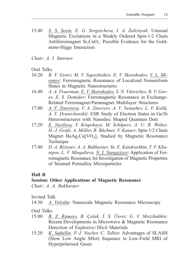15:40 *S. S. Sosin, E. G. Sergeicheva, I. A. Zaliznyak*: Unusual Magnetic Excitations in a Weakly Ordered Spin-1/2 Chain Antiferromagnet Sr<sub>3</sub>CuO<sub>3</sub>: Possible Evidence for the Goldstone-Higgs Interaction

*Chair: A. I. Smirnov*

Oral Talks

- 16:20 *R. V. Gorev, M. V. Sapozhnikov, E. V. Skorohodov, V. L. Mironov*: Ferromagnetic Resonance of Localized Nonuniform States in Magnetic Nanostructures
- 16:40 *A. A. Fraerman, E. V. Skorohodov, S. N. Vdovichev, R. V. Gorev, E. S. Demidov*: Ferromagnetic Resonance in Exchange-Related Ferromagnet-Paramagnet Multilayer Structures
- 17:00 *A. F. Zinovieva, V. A. Zinovyev, A. V. Nenashev, L. V. Kulik, A. V. Dvurechenskii*: ESR Study of Electron States in Ge/Si Heterostructures with Nanodisc Shaped Quantum Dots
- 17:20 *E. Vavilova, Y. Krupskaya, M. Schäpers, A. U. B. Wolter, H.-J. Grafe, A. Möller, B. Büchner, V. Kataev*: Spin-1/2 Chain Magnet BaAg<sub>2</sub>Cu<sup>[VO<sub>4</sub>]<sub>2</sub> Studied by Magnetic Resonance</sup> Technique
- 17:40 *D. A. Biziyaev, A. A. Bukharaev, Yu. E. Kandrashkin, T. F. Khanipov, L. V. Mingalieva, N. I. Nurgazizov*: Application of Ferromagnetic Resonance for Investigation of Magnetic Properties of Strained Permalloy Microparticles

## **Hall B**

## **Session: Other Applications of Magnetic Resonance**

*Chair: A. A. Bukharaev*

Invited Talk

14:30 *A. Volodin*: Nanoscale Magnetic Resonance Microscopy

- 15:00 *B. Z. Rameev, B. Çolak, İ. S. Ünver, G. V. Mozzhukhin*: Recent Developments in Microwave & Magnetic Resonance Detection of Explosive /Illicit Materials
- 15:20 *K. Safiullin, P.-J. Nacher, C. Talbot*: Advantages of SLASH (Slow Low Angle SHot) Sequence in Low-Field MRI of Hyperpolarised Gases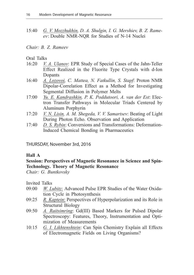15:40 *G. V. Mozzhukhin, D. A. Shulgin, I. G. Mershiev, B. Z. Rameev,* : Double NMR-NQR for Studies of N-14 Nuclei

#### *Chair: B. Z. Rameev*

### Oral Talks

- 16:20 *V. A. Ulanov*: EPR Study of Special Cases of the Jahn-Teller Effect Realized in the Fluorite Type Crystals with d-Ion Dopants
- 16:40 *A. Lozovoi, C. Mattea, N. Fatkullin, S. Stapf*: Proton NMR Dipolar-Correlation Effect as a Method for Investigating Segmental Diffusion in Polymer Melts
- 17:00 *Yu. E. Kandrashkin, P. K. Poddutoori, A. van der Est*: Electron Transfer Pathways in Molecular Triads Centered by Aluminum Porphyrin
- 17:20 *V. N. Lisin, A. M. Shegeda, V. V. Samartsev*: Beating of Light During Photon Echo. Observation and Application
- 17:40 *D. S. Rybin*: Conversions and Transformations: Deformation-Induced Chemical Bonding in Pharmaceutics

THURSDAY, November 3rd, 2016

### **Hall A**

## **Session: Perspectives of Magnetic Resonance in Science and Spin-Technology. Theory of Magnetic Resonance**

*Chair: G. Buntkovsky*

Invited Talks

- 09:00 *W. Lubitz*: Advanced Pulse EPR Studies of the Water Oxidation Cycle in Photosynthesis
- 09:25 *R. Kaptein*: Perspectives of Hyperpolarization and its Role in Structural Biology
- 09:50 *A. Raitsimring*: Gd(III) Based Markers for Pulsed Dipolar Spectroscopy: Features, Theory, Instrumentation and Optimization of Measurements
- 10:15 *G. I. Likhtenshtein*: Can Spin Chemistry Explain all Effects of Electromagnetic Fields on Living Organisms?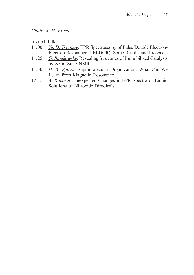## *Chair: J. H. Freed*

Invited Talks

- 11:00 *Yu. D. Tsvetkov*: EPR Spectroscopy of Pulse Double Electron-Electron Resonance (PELDOR). Some Results and Prospects
- 11:25 *G. Buntkowsky*: Revealing Structures of Immobilized Catalysts by Solid State NMR
- 11:50 *H. W. Spiess*: Supramolecular Organization: What Can We Learn from Magnetic Resonance
- 12:15 *A. Kokorin*: Unexpected Changes in EPR Spectra of Liquid Solutions of Nitroxide Biradicals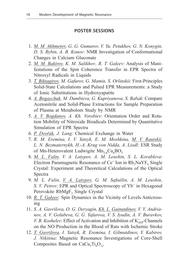#### **Poster Sessions**

- 1. *M. M. Akhmetov, G. G. Gumarov, V. Yu. Petukhov, G. N. Konygin, D. S. Rybin, A. B. Konov*: NMR Investigation of Conformational Changes in Calcium Gluconate
- 2. *M. M. Bakirov, K. M. Salikhov, R. T. Galeev: Analysis of Mani*festations of the Spin Coherence Transfer in EPR Spectra of Nitroxyl Radicals in Liquids
- 3. *T. Biktagirov, M. Gafurov, G. Mamin, S. Orlinskii*: First-Principles Solid-State Calculations and Pulsed EPR Measurements: a Study of Ionic Substitutions in Hydroxyapatite
- 4. *A. Bogaychuk, M. Dambieva, G. Kupriyanova, S. Babak*: Compare Acetonitrile and Solid-Phase Extractions for Sample Preparation of Plasma at Metabolom Study by NMR
- 5. *A. V. Bogdanov, A. Kh. Vorobiev*: Orientation Order and Rotation Mobility of Nitroxide Biradicals Determined by Quantitative Simulation of EPR Spectra
- 6. *P. Dvořák, J. Lang*: Chemical Exchange in Water
- 7. *R. M. Eremina, I. V. Yatsyk, E. M. Moshkina, M. V. Rautskii, L. N. Bezmaternykh, H.-A. Krug von Nidda, A. Liodl*: ESR Study of Mn-Heterovalent Ludwigite Mn<sub>3-x</sub>Cu<sub>x</sub>BO<sub>5</sub>
- 8. *M. L. Falin, V. A. Latypov, A. M. Leushin, S. L. Korableva*: Electron Paramagnetic Resonance of  $Ce^+$  Ion in  $Rb_2NaYF_6$  Single Crystal: Experiment and Theoretical Calculations of the Optical Spectra
- 9. *M. L. Falin, V. A. Latypov, G. M. Safiullin, A. M. Leushin,* S. *V. Petrov*: EPR and Optical Spectroscopy of Yb<sup>+</sup> in Hexagonal Perovskite RbMgF<sub>2</sub> Single Crystal
- 10. *R. T. Galeev*: Spin Dynamics in the Vicinity of Levels Anticrossing
- 11. *S. A. Gavrilova, O. G. Deryagin, Kh. L. Gainutdinov, V. V. Andrianov, A. V. Golubeva, G. G. Yafarova, V. S. Iyudin, A. V. Buravkov, V. B. Koshelev*: Effect of Activation and Inhibition of  $K_{ATP}^+$ -Channels on the NO Production in the Blood of Rats with Ischemic Stroke
- 12. *T. Gavrilova, I. Yatsyk, R. Eremina, I. Gilmutdinov, Y. Kabirov, J. Nikitina*: Magnetic Resonance Investigations of Core-Shell Composites Based on  $CaCu<sub>3</sub>Ti<sub>4</sub>O<sub>12</sub>$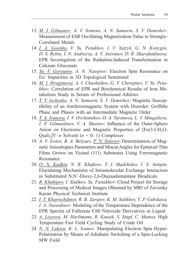- 13. *M. I. Gilmanov, , A. V. Semeno, A. N. Samarin, S. V. Demishev,* : Measurement of ESR Oscillating Magnetization Value in Strongly-Correlated Metals
- 14. *I. A. Goenko, V. Yu. Petukhov, I. V. Yatzyk, G. N. Konygin, D. S. Rybin, I. N. Andreeva, A. V. Anisimov, D. R. Sharafutdinova*: EPR Investigation of the Radiation-Induced Transformation in Calcium Gluconate
- 15. *Yu. V. Goryunov, A. N. Nateprov*: Electron Spin Resonance on Eu+ Impurities in 3D Topological Semimetal
- 16. *M. I. Ibragimova, A. I. Chushnikov, G. V. Cherepnev, V. Yu. Petukhov*: Correlation of EPR and Biochemical Results of Iron Metabolism Study in Serum of Professional Athletes
- 17. *T. V. Ischenko, A. N. Samarin, S. V. Demishev*: Magnetic Susceptibility of an Antiferromagnetic System with Disorder: Griffiths Phase and Phases with an Intermediate Magnetic Order
- 18. *T. A. Ivanova, I. V. Ovchinnikov, О. А. Turanova, L. V. Mingalieva, I. F. Gilmutdinov, V. A. Shustov*: Influence of the Outer-Sphere Anion on Electronic and Magnetic Properties of  $[Fe(3-CH<sub>3</sub>O-$ Qsal)<sub>2</sub>]Y  $\cdot$  *n* Solvent ( $n = 0, 1$ ) Complexes
- 19. *A. V. Izotov, B. A. Belyaev, P. N. Solovev*: Determination of Magnetic Anisotropies Parameters and Miscut Angles for Epitaxial Thin Films Grown on Vicinal (111) Substrates Using Ferromagnetic Resonance
- 20. *O. N. Kadkin, N. R. Khafizov, T. I. Madzhidov, I. S. Antipin*: Elucidating Mechanisms of Intramolecular Exchange Interaction in Substituted N,N-Dioxy-2,6-Diazaadamantane Biradicals
- 21. *R. Khabipov, I. Sitdikov, Ya. Fattakhov*: Cloud Project for Storage and Processing of Medical Images Obtained by MRI of Zavoisky Kazan Physical Technical Institute
- 22. *I. T. Khairuzhdinov, R. B. Zaripov, K. M. Salikhov, V. P. Gubskaya, I. A. Nuretdinov*: Modeling of the Temperature Dependence of the EPR Spectra of Fullerene C60 Nitroxide Derivatives in Liquid
- 23. *A. Lozovoi, M. Hurlimann, R. Kausik, S. Stapf, C. Mattea*: High Temperature Fast Field Cycling Study of Crude Oil
- 24. *N. N. Lukzen, K. L. Ivanov*: Manipulating Electron Spin Hyper-Polarization by Means of Adiabatic Switching of a Spin-Locking MW Field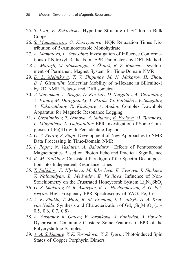- 25. *S. Lvov, E. Kukovitsky*: Hyperfine Structure of Er+ Ion in Bulk Copper
- 26. *S. Mamadazizov, G. Kupriyanova*: NQR Relaxation Times Distribution of 5-Aminotetrazole Monohydrate
- 27. *A. Mamatova, L. Savostina*: Investigation of Influence Conformations of Nitroxyl Radicals on EPR Parameters by DFT Method
- 28 *A. Maraşlı, M. Maksutoğlu, Y. Öztürk, B. Z. Rameev*: Development of Permanent Magnet System for Time-Domain NMR
- 29. *D. L. Melnikova, T. V. Shipunov, M. N. Makarov, H. Zhou, B. I. Gizatullin*: Molecular Mobility of n-Hexane in Silicailte-1 by 2D NMR Relaxo- and Diffusometry
- 30. *V. Murzakaev, A. Bragin, D. Kirgizov, D. Nurgaliev, A. Alexandrov, A. Ivanov, M. Doroginitcky, V. Skirda, Ya. Fattakhov, V. Shagalov, A. Fakhrutdinov, R. Khabipov, A. Anikin*: Complex Downhole Apparatus for Magnetic Resonance Logging
- 31. *I. Ovchinnikov, T. Ivanova, A. Suhanov, E. Frolova, O. Turanova, L. Mingalieva, L. Gafiyatullin*: EPR Investigation of Some Complexes of Fe(III) with Pentadentate Ligand
- 32. *O. V. Petrov, S. Stapf*: Development of New Approaches to NMR Data Processing in Time-Domain NMR
- 33. *I. Popov, N. Vashurin, A. Bahodurov*: Effects of Femtosecond Magnetooptics Based on Photon Echo and Practical Significance
- 34. *K. M. Salikhov*: Consistent Paradigm of the Spectra Decomposition into Independent Resonance Lines
- 35. *T. Salikhov, E. Klysheva, M. Iakovleva, E. Zvereva, I. Shukaev, V. Nalbandyan, B. Medvedev, E. Vavilova*: Influence of Non-Stoichiometry on the Frustrated Honeycomb System  $Li<sub>2</sub>Ni<sub>2</sub>SbO<sub>6</sub>$
- 36. *G. S. Shakurov, G. R. Asatryan, K. L. Hovhannesyan, A. G. Petrosyan*: High-Frequency EPR Spectroscopy of YAG: Fe, Ce
- 37. *A. K. Shukla, T. Maiti, R. M. Eremina, I. V. Yatsyk, H.-A. Krug von Nidda*: Synthesis and Characterization of  $Gd_{1-x}Sr_xMnO_3$  ( $x =$ 0.5, 0.6, 0.7, 0.8)
- 38. *A. Sukhanov, R. Galeev, V. Voronkova, A. Baniodeh, A. Powell*: Dysprosium Containing Clusters: Some Features of EPR of the Polycrystalline Samples
- 39. *A. A. Sukhanov, V. K. Voronkova, V. S. Tyurin*: Photoinduced Spin States of Copper Porphyrin Dimers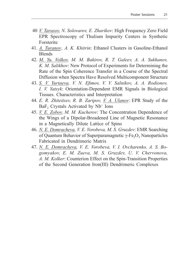- 40 *V. Tarasov, N. Solovarov, E. Zharikov*: High Frequency Zero Field EPR Spectroscopy of Thulium Impurity Centers in Synthetic Forsterite
- 41. *A. Turanov*, *A. K. Khitrin*: Ethanol Clusters in Gasoline-Ethanol Blends
- 42. *M. Yu. Volkov, M. M. Bakirov, R. T. Galeev, A. A. Sukhanov, K. M. Salikhov*: New Protocol of Experiments for Determining the Rate of the Spin Coherence Transfer in a Course of the Spectral Diffusion when Spectra Have Resolved Multicomponent Structure
- 43. *S. V. Yurtaeva, V. N. Efimov, V. V. Salnikov, A. A. Rodionov, I. V. Yatsyk*: Orientation-Dependent EMR Signals in Biological Tissues. Characteristics and Interpretation
- 44. *E. R. Zhiteitsev, R. B. Zaripov, V. A. Ulanov,* : EPR Study of the  $BaF<sub>2</sub>$  Crystals Activated by  $Nb<sup>+</sup>$  Ions
- 45. *V. E. Zobov, M. M. Kucherov*: The Concentration Dependence of the Wings of a Dipolar-Broadened Line of Magnetic Resonance in a Magnetically Dilute Lattice of Spins
- 46. *N. E. Domracheva, V. E. Vorobeva, M. S. Gruzdev*: EMR Searching of Quantum Behavior of Superparamagnetic  $\gamma$ -Fe<sub>2</sub>O<sub>3</sub> Nanoparticles Fabricated in Dendrimeric Matrix
- 47. *N. E. Domracheva, V. E. Vorobeva, V. I. Ovcharenko, A. S. Bogomyakov, E. M. Zueva, M. S. Gruzdev, U. V. Chervonova, A. M. Kolker*: Counterion Effect on the Spin-Transition Properties of the Second Generation Iron(III) Dendrimeric Complexes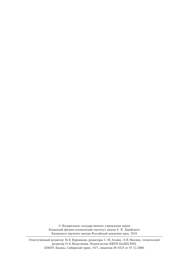© Федеральное государственное учреждение науки Казанский физико-технический институт имени Е. К. Завойского Казанского научного центра Российской академии наук, 2016

Ответственный редактор: В.К.Воронкова; редакторы С.М.Ахмин, Л.В.Мосина; технический редактор О.Б.Яндуганова. Издательство КФТИ КазНЦ РАН, 420029, Казань, Сибирский тракт, 10/7, лицензия № 0325 от 07.12.2000.